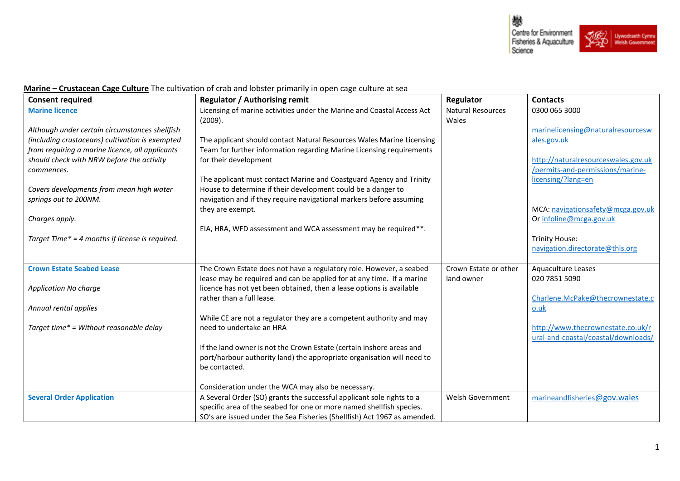

## **Marine – Crustacean Cage Culture** The cultivation of crab and lobster primarily in open cage culture at sea

| <b>Consent required</b>                         | <b>Regulator / Authorising remit</b>                                     | Regulator                | <b>Contacts</b>                     |
|-------------------------------------------------|--------------------------------------------------------------------------|--------------------------|-------------------------------------|
| <b>Marine licence</b>                           | Licensing of marine activities under the Marine and Coastal Access Act   | <b>Natural Resources</b> | 0300 065 3000                       |
|                                                 | (2009).                                                                  | Wales                    |                                     |
| Although under certain circumstances shellfish  |                                                                          |                          | marinelicensing@naturalresourcesw   |
| (including crustaceans) cultivation is exempted | The applicant should contact Natural Resources Wales Marine Licensing    |                          | ales.gov.uk                         |
| from requiring a marine licence, all applicants | Team for further information regarding Marine Licensing requirements     |                          |                                     |
| should check with NRW before the activity       | for their development                                                    |                          | http://naturalresourceswales.gov.uk |
| commences.                                      |                                                                          |                          | /permits-and-permissions/marine-    |
|                                                 | The applicant must contact Marine and Coastguard Agency and Trinity      |                          | licensing/?lang=en                  |
| Covers developments from mean high water        | House to determine if their development could be a danger to             |                          |                                     |
| springs out to 200NM.                           | navigation and if they require navigational markers before assuming      |                          |                                     |
|                                                 | they are exempt.                                                         |                          | MCA: navigationsafety@mcga.gov.uk   |
| Charges apply.                                  |                                                                          |                          | Or infoline@mcga.gov.uk             |
|                                                 | EIA, HRA, WFD assessment and WCA assessment may be required**.           |                          |                                     |
| Target Time* = 4 months if license is required. |                                                                          |                          | Trinity House:                      |
|                                                 |                                                                          |                          | navigation.directorate@thls.org     |
| <b>Crown Estate Seabed Lease</b>                | The Crown Estate does not have a regulatory role. However, a seabed      | Crown Estate or other    | Aquaculture Leases                  |
|                                                 | lease may be required and can be applied for at any time. If a marine    | land owner               | 020 7851 5090                       |
| Application No charge                           | licence has not yet been obtained, then a lease options is available     |                          |                                     |
|                                                 | rather than a full lease.                                                |                          | Charlene.McPake@thecrownestate.c    |
| Annual rental applies                           |                                                                          |                          | o.uk                                |
|                                                 | While CE are not a regulator they are a competent authority and may      |                          |                                     |
| Target time* = Without reasonable delay         | need to undertake an HRA                                                 |                          | http://www.thecrownestate.co.uk/r   |
|                                                 |                                                                          |                          | ural-and-coastal/coastal/downloads/ |
|                                                 | If the land owner is not the Crown Estate (certain inshore areas and     |                          |                                     |
|                                                 | port/harbour authority land) the appropriate organisation will need to   |                          |                                     |
|                                                 | be contacted.                                                            |                          |                                     |
|                                                 |                                                                          |                          |                                     |
|                                                 | Consideration under the WCA may also be necessary.                       |                          |                                     |
| <b>Several Order Application</b>                | A Several Order (SO) grants the successful applicant sole rights to a    | Welsh Government         | marineandfisheries@gov.wales        |
|                                                 | specific area of the seabed for one or more named shellfish species.     |                          |                                     |
|                                                 | SO's are issued under the Sea Fisheries (Shellfish) Act 1967 as amended. |                          |                                     |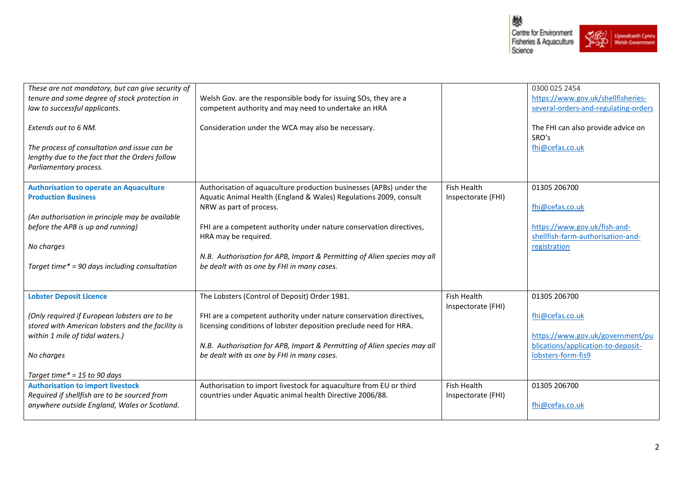戀 Centre for Environment<br>Fisheries & Aquaculture<br>Science



| These are not mandatory, but can give security of<br>tenure and some degree of stock protection in<br>law to successful applicants.<br>Extends out to 6 NM.<br>The process of consultation and issue can be<br>lengthy due to the fact that the Orders follow<br>Parliamentary process. | Welsh Gov. are the responsible body for issuing SOs, they are a<br>competent authority and may need to undertake an HRA<br>Consideration under the WCA may also be necessary.                                                                                                                                                                                                                |                                                         | 0300 025 2454<br>https://www.gov.uk/shellfisheries-<br>several-orders-and-regulating-orders<br>The FHI can also provide advice on<br>SRO's<br>fhi@cefas.co.uk |
|-----------------------------------------------------------------------------------------------------------------------------------------------------------------------------------------------------------------------------------------------------------------------------------------|----------------------------------------------------------------------------------------------------------------------------------------------------------------------------------------------------------------------------------------------------------------------------------------------------------------------------------------------------------------------------------------------|---------------------------------------------------------|---------------------------------------------------------------------------------------------------------------------------------------------------------------|
| <b>Authorisation to operate an Aquaculture</b><br><b>Production Business</b><br>(An authorisation in principle may be available<br>before the APB is up and running)<br>No charges<br>Target time $* = 90$ days including consultation                                                  | Authorisation of aquaculture production businesses (APBs) under the<br>Aquatic Animal Health (England & Wales) Regulations 2009, consult<br>NRW as part of process.<br>FHI are a competent authority under nature conservation directives,<br>HRA may be required.<br>N.B. Authorisation for APB, Import & Permitting of Alien species may all<br>be dealt with as one by FHI in many cases. | Fish Health<br>Inspectorate (FHI)                       | 01305 206700<br>fhi@cefas.co.uk<br>https://www.gov.uk/fish-and-<br>shellfish-farm-authorisation-and-<br>registration                                          |
| <b>Lobster Deposit Licence</b><br>(Only required if European lobsters are to be<br>stored with American lobsters and the facility is<br>within 1 mile of tidal waters.)<br>No charges<br>Target time $* = 15$ to 90 days<br><b>Authorisation to import livestock</b>                    | The Lobsters (Control of Deposit) Order 1981.<br>FHI are a competent authority under nature conservation directives,<br>licensing conditions of lobster deposition preclude need for HRA.<br>N.B. Authorisation for APB, Import & Permitting of Alien species may all<br>be dealt with as one by FHI in many cases.<br>Authorisation to import livestock for aquaculture from EU or third    | <b>Fish Health</b><br>Inspectorate (FHI)<br>Fish Health | 01305 206700<br>fhi@cefas.co.uk<br>https://www.gov.uk/government/pu<br>blications/application-to-deposit-<br>lobsters-form-fis9<br>01305 206700               |
| Required if shellfish are to be sourced from<br>anywhere outside England, Wales or Scotland.                                                                                                                                                                                            | countries under Aquatic animal health Directive 2006/88.                                                                                                                                                                                                                                                                                                                                     | Inspectorate (FHI)                                      | fhi@cefas.co.uk                                                                                                                                               |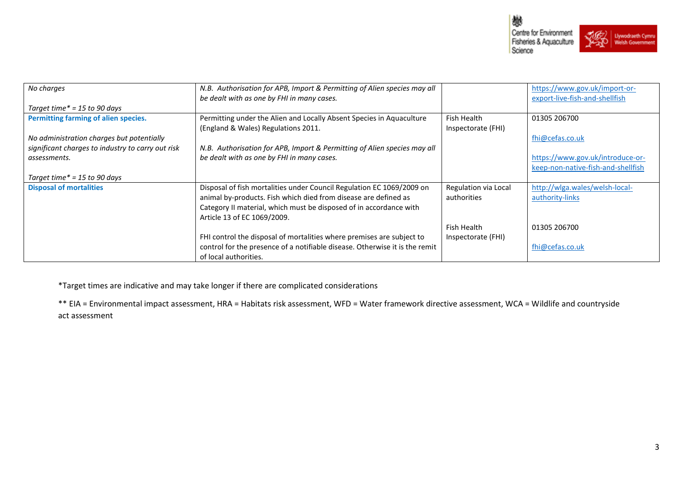

| No charges                                        | N.B. Authorisation for APB, Import & Permitting of Alien species may all<br>be dealt with as one by FHI in many cases.                                                                                                                        |                                     | https://www.gov.uk/import-or-<br>export-live-fish-and-shellfish |
|---------------------------------------------------|-----------------------------------------------------------------------------------------------------------------------------------------------------------------------------------------------------------------------------------------------|-------------------------------------|-----------------------------------------------------------------|
| Target time* = 15 to 90 days                      |                                                                                                                                                                                                                                               |                                     |                                                                 |
| Permitting farming of alien species.              | Permitting under the Alien and Locally Absent Species in Aquaculture<br>(England & Wales) Regulations 2011.                                                                                                                                   | Fish Health<br>Inspectorate (FHI)   | 01305 206700                                                    |
| No administration charges but potentially         |                                                                                                                                                                                                                                               |                                     | fhi@cefas.co.uk                                                 |
| significant charges to industry to carry out risk | N.B. Authorisation for APB, Import & Permitting of Alien species may all                                                                                                                                                                      |                                     |                                                                 |
| assessments.                                      | be dealt with as one by FHI in many cases.                                                                                                                                                                                                    |                                     | https://www.gov.uk/introduce-or-                                |
|                                                   |                                                                                                                                                                                                                                               |                                     | keep-non-native-fish-and-shellfish                              |
| Target time $* = 15$ to 90 days                   |                                                                                                                                                                                                                                               |                                     |                                                                 |
| <b>Disposal of mortalities</b>                    | Disposal of fish mortalities under Council Regulation EC 1069/2009 on<br>animal by-products. Fish which died from disease are defined as<br>Category II material, which must be disposed of in accordance with<br>Article 13 of EC 1069/2009. | Regulation via Local<br>authorities | http://wlga.wales/welsh-local-<br>authority-links               |
|                                                   |                                                                                                                                                                                                                                               | Fish Health                         | 01305 206700                                                    |
|                                                   | FHI control the disposal of mortalities where premises are subject to<br>control for the presence of a notifiable disease. Otherwise it is the remit<br>of local authorities.                                                                 | Inspectorate (FHI)                  | fhi@cefas.co.uk                                                 |

\*Target times are indicative and may take longer if there are complicated considerations

\*\* EIA = Environmental impact assessment, HRA = Habitats risk assessment, WFD = Water framework directive assessment, WCA = Wildlife and countryside act assessment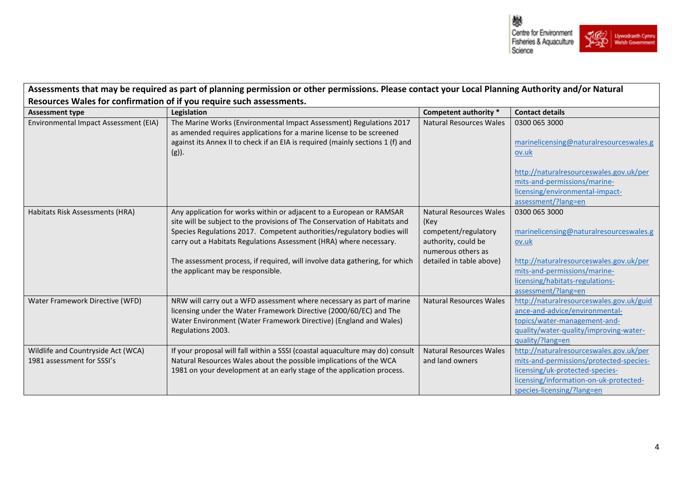

| Assessments that may be required as part of planning permission or other permissions. Please contact your Local Planning Authority and/or Natural |                                                                                                                                                                                                                                                                                                                                                                                                                        |                                                                                                                                         |                                                                                                                                                                                                        |
|---------------------------------------------------------------------------------------------------------------------------------------------------|------------------------------------------------------------------------------------------------------------------------------------------------------------------------------------------------------------------------------------------------------------------------------------------------------------------------------------------------------------------------------------------------------------------------|-----------------------------------------------------------------------------------------------------------------------------------------|--------------------------------------------------------------------------------------------------------------------------------------------------------------------------------------------------------|
| Resources Wales for confirmation of if you require such assessments.                                                                              |                                                                                                                                                                                                                                                                                                                                                                                                                        |                                                                                                                                         |                                                                                                                                                                                                        |
| <b>Assessment type</b>                                                                                                                            | Legislation                                                                                                                                                                                                                                                                                                                                                                                                            | Competent authority *                                                                                                                   | <b>Contact details</b>                                                                                                                                                                                 |
| Environmental Impact Assessment (EIA)                                                                                                             | The Marine Works (Environmental Impact Assessment) Regulations 2017<br>as amended requires applications for a marine license to be screened<br>against its Annex II to check if an EIA is required (mainly sections 1 (f) and<br>$(g)$ ).                                                                                                                                                                              | <b>Natural Resources Wales</b>                                                                                                          | 0300 065 3000<br>marinelicensing@naturalresourceswales.g<br>ov.uk                                                                                                                                      |
|                                                                                                                                                   |                                                                                                                                                                                                                                                                                                                                                                                                                        |                                                                                                                                         | http://naturalresourceswales.gov.uk/per<br>mits-and-permissions/marine-<br>licensing/environmental-impact-<br>assessment/?lang=en                                                                      |
| Habitats Risk Assessments (HRA)                                                                                                                   | Any application for works within or adjacent to a European or RAMSAR<br>site will be subject to the provisions of The Conservation of Habitats and<br>Species Regulations 2017. Competent authorities/regulatory bodies will<br>carry out a Habitats Regulations Assessment (HRA) where necessary.<br>The assessment process, if required, will involve data gathering, for which<br>the applicant may be responsible. | <b>Natural Resources Wales</b><br>(Key<br>competent/regulatory<br>authority, could be<br>numerous others as<br>detailed in table above) | 0300 065 3000<br>marinelicensing@naturalresourceswales.g<br>ov.uk<br>http://naturalresourceswales.gov.uk/per<br>mits-and-permissions/marine-<br>licensing/habitats-regulations-<br>assessment/?lang=en |
| Water Framework Directive (WFD)                                                                                                                   | NRW will carry out a WFD assessment where necessary as part of marine<br>licensing under the Water Framework Directive (2000/60/EC) and The<br>Water Environment (Water Framework Directive) (England and Wales)<br>Regulations 2003.                                                                                                                                                                                  | <b>Natural Resources Wales</b>                                                                                                          | http://naturalresourceswales.gov.uk/guid<br>ance-and-advice/environmental-<br>topics/water-management-and-<br>quality/water-quality/improving-water-<br>guality/?lang=en                               |
| Wildlife and Countryside Act (WCA)<br>1981 assessment for SSSI's                                                                                  | If your proposal will fall within a SSSI (coastal aquaculture may do) consult<br>Natural Resources Wales about the possible implications of the WCA<br>1981 on your development at an early stage of the application process.                                                                                                                                                                                          | <b>Natural Resources Wales</b><br>and land owners                                                                                       | http://naturalresourceswales.gov.uk/per<br>mits-and-permissions/protected-species-<br>licensing/uk-protected-species-<br>licensing/information-on-uk-protected-<br>species-licensing/?lang=en          |